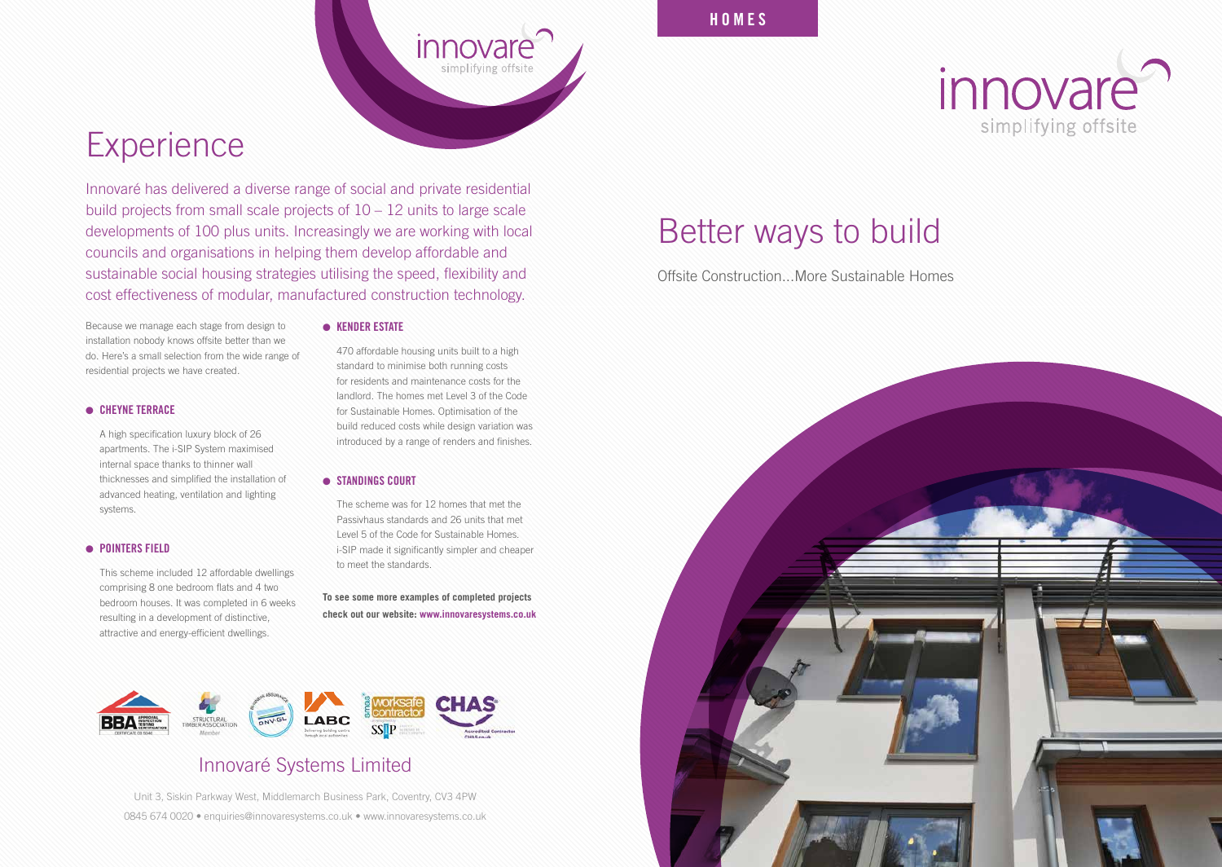### Better ways to build

Offsite Construction...More Sustainable Homes





### Innovaré Systems Limited

Unit 3, Siskin Parkway West, Middlemarch Business Park, Coventry, CV3 4PW 0845 674 0020 • enquiries@innovaresystems.co.uk • www.innovaresystems.co.uk

Innovaré has delivered a diverse range of social and private residential build projects from small scale projects of 10 – 12 units to large scale developments of 100 plus units. Increasingly we are working with local councils and organisations in helping them develop affordable and sustainable social housing strategies utilising the speed, flexibility and cost effectiveness of modular, manufactured construction technology.

Because we manage each stage from design to installation nobody knows offsite better than we do. Here's a small selection from the wide range of residential projects we have created.

### **CHEYNE TERRACE**

 A high specification luxury block of 26 apartments. The i-SIP System maximised internal space thanks to thinner wall thicknesses and simplified the installation of advanced heating, ventilation and lighting systems.

### **• POINTERS FIELD**

 This scheme included 12 affordable dwellings comprising 8 one bedroom flats and 4 two bedroom houses. It was completed in 6 weeks resulting in a development of distinctive, attractive and energy-efficient dwellings.

#### **e** KENDER ESTATE

 470 affordable housing units built to a high standard to minimise both running costs for residents and maintenance costs for the landlord. The homes met Level 3 of the Code for Sustainable Homes. Optimisation of the build reduced costs while design variation was introduced by a range of renders and finishes.

*innovare* 

simplifying offsite

#### **STANDINGS COURT**

 The scheme was for 12 homes that met the Passivhaus standards and 26 units that met Level 5 of the Code for Sustainable Homes. i-SIP made it significantly simpler and cheaper to meet the standards.

**To see some more examples of completed projects check out our website: www.innovaresystems.co.uk** 



### **Experience**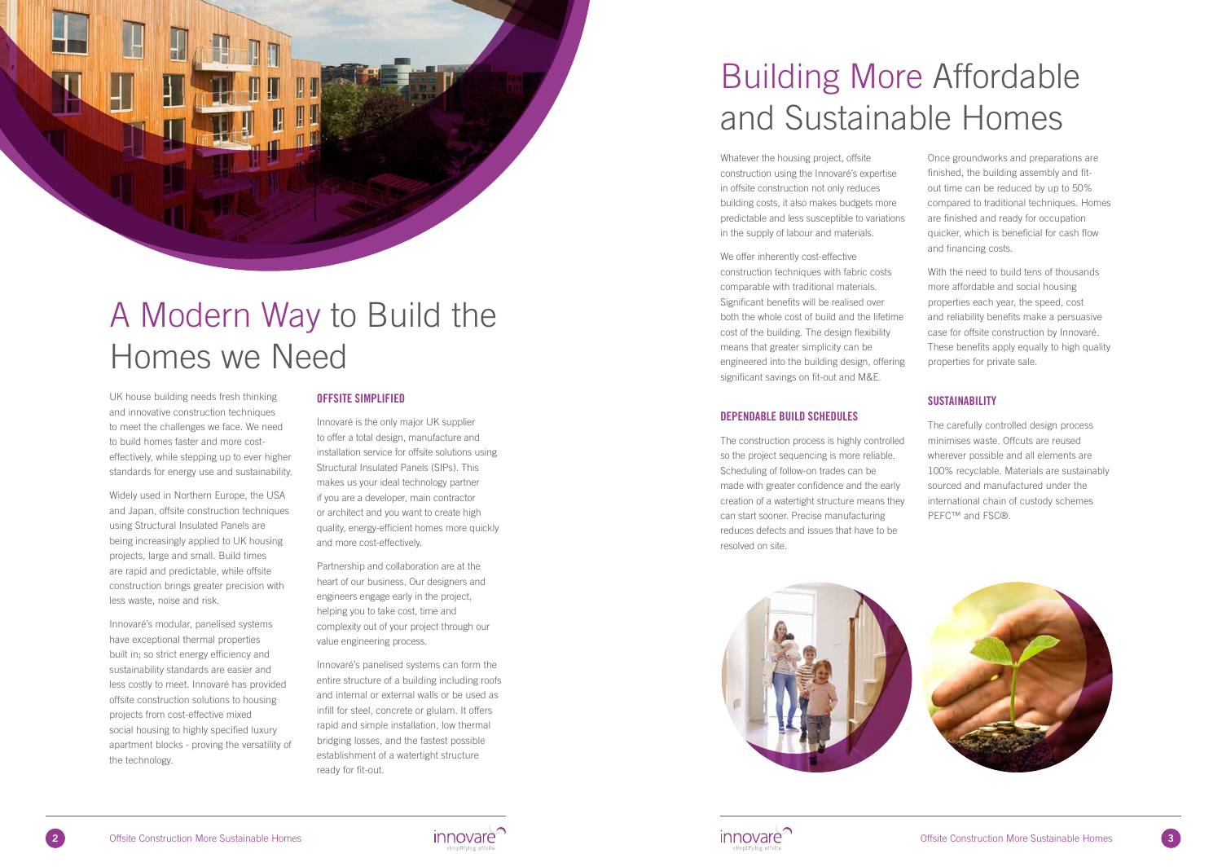# A Modern Way to Build the Homes we Need

UK house building needs fresh thinking and innovative construction techniques to meet the challenges we face. We need to build homes faster and more costeffectively, while stepping up to ever higher standards for energy use and sustainability.

Widely used in Northern Europe, the USA and Japan, offsite construction techniques using Structural Insulated Panels are being increasingly applied to UK housing projects, large and small. Build times are rapid and predictable, while offsite construction brings greater precision with less waste, noise and risk.

Innovaré's modular, panelised systems have exceptional thermal properties built in; so strict energy efficiency and sustainability standards are easier and less costly to meet. Innovaré has provided offsite construction solutions to housing projects from cost-effective mixed social housing to highly specified luxury apartment blocks - proving the versatility of the technology.

### OFFSITE SIMPLIFIED

Innovaré is the only major UK supplier to offer a total design, manufacture and installation service for offsite solutions using Structural Insulated Panels (SIPs). This makes us your ideal technology partner if you are a developer, main contractor or architect and you want to create high quality, energy-efficient homes more quickly and more cost-effectively.

The construction process is highly controlled so the project sequencing is more reliable. Scheduling of follow-on trades can be made with greater confidence and the early creation of a watertight structure means they can start sooner. Precise manufacturing reduces defects and issues that have to be resolved on site. The carefully controlled design process minimises waste. Offcuts are reused wherever possible and all elements are 100% recyclable. Materials are sustainably sourced and manufactured under the international chain of custody schemes PEFC™ and FSC®.







Partnership and collaboration are at the heart of our business. Our designers and engineers engage early in the project, helping you to take cost, time and complexity out of your project through our value engineering process.

Innovaré's panelised systems can form the entire structure of a building including roofs and internal or external walls or be used as infill for steel, concrete or glulam. It offers rapid and simple installation, low thermal bridging losses, and the fastest possible establishment of a watertight structure ready for fit-out.

### Building More Affordable and Sustainable Homes

Whatever the housing project, offsite construction using the Innovaré's expertise in offsite construction not only reduces building costs, it also makes budgets more predictable and less susceptible to variations in the supply of labour and materials.

### DEPENDABLE BUILD SCHEDULES

We offer inherently cost-effective construction techniques with fabric costs comparable with traditional materials. Significant benefits will be realised over both the whole cost of build and the lifetime cost of the building. The design flexibility means that greater simplicity can be engineered into the building design, offering significant savings on fit-out and M&E. and financing costs. With the need to build tens of thousands more affordable and social housing properties each year, the speed, cost and reliability benefits make a persuasive case for offsite construction by Innovaré. These benefits apply equally to high quality properties for private sale.

Once groundworks and preparations are finished, the building assembly and fitout time can be reduced by up to 50% compared to traditional techniques. Homes are finished and ready for occupation quicker, which is beneficial for cash flow

### **SUSTAINABILITY**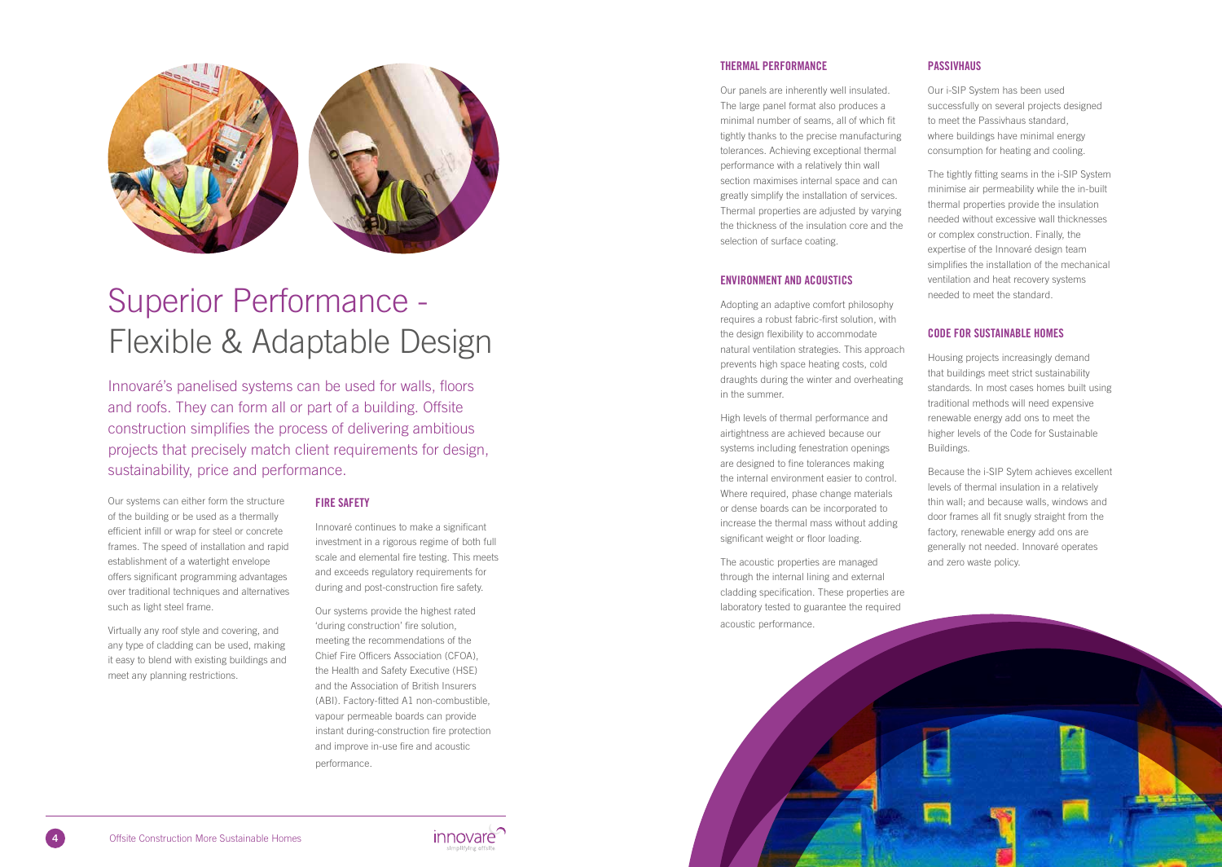

### Superior Performance - Flexible & Adaptable Design

Innovaré's panelised systems can be used for walls, floors and roofs. They can form all or part of a building. Offsite construction simplifies the process of delivering ambitious projects that precisely match client requirements for design, sustainability, price and performance.

Our systems can either form the structure of the building or be used as a thermally efficient infill or wrap for steel or concrete frames. The speed of installation and rapid establishment of a watertight envelope offers significant programming advantages over traditional techniques and alternatives such as light steel frame.

Virtually any roof style and covering, and any type of cladding can be used, making it easy to blend with existing buildings and meet any planning restrictions.

### FIRE SAFETY

Innovaré continues to make a significant investment in a rigorous regime of both full scale and elemental fire testing. This meets and exceeds regulatory requirements for during and post-construction fire safety.

Our systems provide the highest rated 'during construction' fire solution, meeting the recommendations of the Chief Fire Officers Association (CFOA), the Health and Safety Executive (HSE) and the Association of British Insurers (ABI). Factory-fitted A1 non-combustible, vapour permeable boards can provide instant during-construction fire protection and improve in-use fire and acoustic performance.

### THERMAL PERFORMANCE

Our panels are inherently well insulated. The large panel format also produces a minimal number of seams, all of which fit tightly thanks to the precise manufacturing tolerances. Achieving exceptional thermal performance with a relatively thin wall section maximises internal space and can greatly simplify the installation of services. Thermal properties are adjusted by varying the thickness of the insulation core and the selection of surface coating.

### ENVIRONMENT AND ACOUSTICS

Adopting an adaptive comfort philosophy requires a robust fabric-first solution, with the design flexibility to accommodate natural ventilation strategies. This approach prevents high space heating costs, cold draughts during the winter and overheating in the summer.

High levels of thermal performance and airtightness are achieved because our systems including fenestration openings are designed to fine tolerances making the internal environment easier to control. Where required, phase change materials or dense boards can be incorporated to increase the thermal mass without adding significant weight or floor loading.

The acoustic properties are managed through the internal lining and external cladding specification. These properties are laboratory tested to guarantee the required acoustic performance.





### **PASSIVHAUS**

Our i-SIP System has been used successfully on several projects designed to meet the Passivhaus standard, where buildings have minimal energy consumption for heating and cooling.

The tightly fitting seams in the i-SIP System minimise air permeability while the in-built thermal properties provide the insulation needed without excessive wall thicknesses or complex construction. Finally, the expertise of the Innovaré design team simplifies the installation of the mechanical ventilation and heat recovery systems needed to meet the standard.

### CODE FOR SUSTAINABLE HOMES

Housing projects increasingly demand that buildings meet strict sustainability standards. In most cases homes built using traditional methods will need expensive renewable energy add ons to meet the higher levels of the Code for Sustainable Buildings.

Because the i-SIP Sytem achieves excellent levels of thermal insulation in a relatively thin wall; and because walls, windows and door frames all fit snugly straight from the factory, renewable energy add ons are generally not needed. Innovaré operates and zero waste policy.